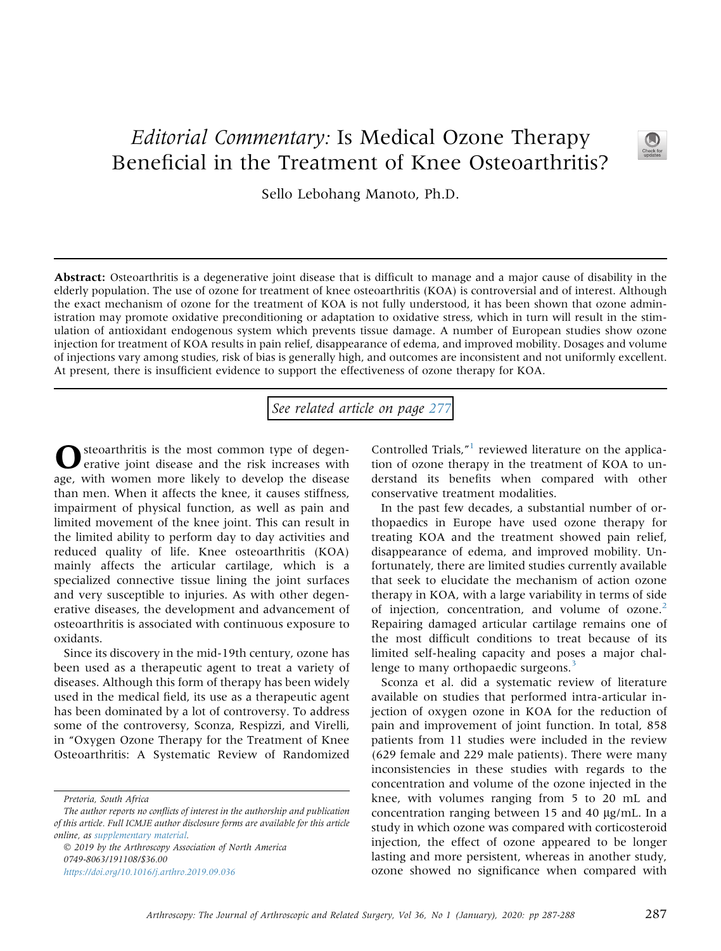## Editorial Commentary: Is Medical Ozone Therapy Beneficial in the Treatment of Knee Osteoarthritis?



Sello Lebohang Manoto, Ph.D.

Abstract: Osteoarthritis is a degenerative joint disease that is difficult to manage and a major cause of disability in the elderly population. The use of ozone for treatment of knee osteoarthritis (KOA) is controversial and of interest. Although the exact mechanism of ozone for the treatment of KOA is not fully understood, it has been shown that ozone administration may promote oxidative preconditioning or adaptation to oxidative stress, which in turn will result in the stimulation of antioxidant endogenous system which prevents tissue damage. A number of European studies show ozone injection for treatment of KOA results in pain relief, disappearance of edema, and improved mobility. Dosages and volume of injections vary among studies, risk of bias is generally high, and outcomes are inconsistent and not uniformly excellent. At present, there is insufficient evidence to support the effectiveness of ozone therapy for KOA.

See related article on page [277](http://www.arthroscopyjournal.org/article/S0749-8063(19)30491-8/abstract)

steoarthritis is the most common type of degenerative joint disease and the risk increases with age, with women more likely to develop the disease than men. When it affects the knee, it causes stiffness, impairment of physical function, as well as pain and limited movement of the knee joint. This can result in the limited ability to perform day to day activities and reduced quality of life. Knee osteoarthritis (KOA) mainly affects the articular cartilage, which is a specialized connective tissue lining the joint surfaces and very susceptible to injuries. As with other degenerative diseases, the development and advancement of osteoarthritis is associated with continuous exposure to oxidants.

Since its discovery in the mid-19th century, ozone has been used as a therapeutic agent to treat a variety of diseases. Although this form of therapy has been widely used in the medical field, its use as a therapeutic agent has been dominated by a lot of controversy. To address some of the controversy, Sconza, Respizzi, and Virelli, in "Oxygen Ozone Therapy for the Treatment of Knee Osteoarthritis: A Systematic Review of Randomized

 2019 by the Arthroscopy Association of North America 0749-8063/191108/\$36.00 <https://doi.org/10.1016/j.arthro.2019.09.036>

Controlled Trials,"<sup>[1](#page-1-0)</sup> reviewed literature on the application of ozone therapy in the treatment of KOA to understand its benefits when compared with other conservative treatment modalities.

In the past few decades, a substantial number of orthopaedics in Europe have used ozone therapy for treating KOA and the treatment showed pain relief, disappearance of edema, and improved mobility. Unfortunately, there are limited studies currently available [that seek to elucidate the mechanism of action ozone](https://www.austinozone.com) therapy in KOA, with a large variability in terms of side of injection, concentration, and volume of ozone.<sup>[2](#page-1-0)</sup> Repairing damaged articular cartilage remains one of the most difficult conditions to treat because of its limited self-healing capacity and poses a major chal-lenge to many orthopaedic surgeons.<sup>[3](#page-1-0)</sup>

Sconza et al. did a systematic review of literature available on studies that performed intra-articular injection of oxygen ozone in KOA for the reduction of pain and improvement of joint function. In total, 858 patients from 11 studies were included in the review (629 female and 229 male patients). There were many inconsistencies in these studies with regards to the concentration and volume of the ozone injected in the knee, with volumes ranging from 5 to 20 mL and concentration ranging between 15 and 40  $\mu$ g/mL. In a study in which ozone was compared with corticosteroid injection, the effect of ozone appeared to be longer lasting and more persistent, whereas in another study, ozone showed no significance when compared with

Pretoria, South Africa

The author reports no conflicts of interest in the authorship and publication of this article. Full ICMJE author disclosure forms are available for this article online, as supplementary material.